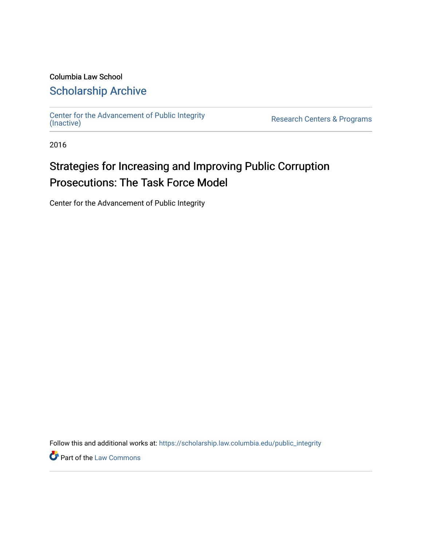### Columbia Law School [Scholarship Archive](https://scholarship.law.columbia.edu/)

[Center for the Advancement of Public Integrity](https://scholarship.law.columbia.edu/public_integrity)<br>(Inactive)

Research Centers & Programs

2016

## Strategies for Increasing and Improving Public Corruption Prosecutions: The Task Force Model

Center for the Advancement of Public Integrity

Follow this and additional works at: [https://scholarship.law.columbia.edu/public\\_integrity](https://scholarship.law.columbia.edu/public_integrity?utm_source=scholarship.law.columbia.edu%2Fpublic_integrity%2F72&utm_medium=PDF&utm_campaign=PDFCoverPages)

**Part of the [Law Commons](http://network.bepress.com/hgg/discipline/578?utm_source=scholarship.law.columbia.edu%2Fpublic_integrity%2F72&utm_medium=PDF&utm_campaign=PDFCoverPages)**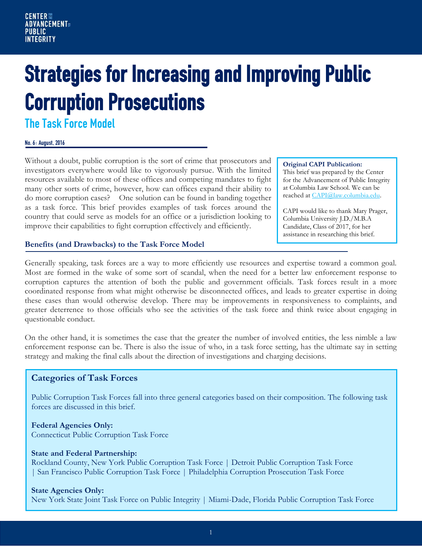# Strategies for Increasing and Improving Public Corruption Prosecutions

The Task Force Model

#### No. 6: August, 2016

Without a doubt, public corruption is the sort of crime that prosecutors and investigators everywhere would like to vigorously pursue. With the limited resources available to most of these offices and competing mandates to fight many other sorts of crime, however, how can offices expand their ability to do more corruption cases? One solution can be found in banding together as a task force. This brief provides examples of task forces around the country that could serve as models for an office or a jurisdiction looking to improve their capabilities to fight corruption effectively and efficiently.

#### **Original CAPI Publication:**

This brief was prepared by the Center for the Advancement of Public Integrity at Columbia Law School. We can be reached a[t CAPI@law.columbia.edu.](mailto:CAPI@law.columbia.edu)

CAPI would like to thank Mary Prager, Columbia University J.D./M.B.A Candidate, Class of 2017, for her assistance in researching this brief.

#### **Benefits (and Drawbacks) to the Task Force Model**

Generally speaking, task forces are a way to more efficiently use resources and expertise toward a common goal. Most are formed in the wake of some sort of scandal, when the need for a better law enforcement response to corruption captures the attention of both the public and government officials. Task forces result in a more coordinated response from what might otherwise be disconnected offices, and leads to greater expertise in doing these cases than would otherwise develop. There may be improvements in responsiveness to complaints, and greater deterrence to those officials who see the activities of the task force and think twice about engaging in questionable conduct.

On the other hand, it is sometimes the case that the greater the number of involved entities, the less nimble a law enforcement response can be. There is also the issue of who, in a task force setting, has the ultimate say in setting strategy and making the final calls about the direction of investigations and charging decisions.

#### **Categories of Task Forces**

Public Corruption Task Forces fall into three general categories based on their composition. The following task forces are discussed in this brief.

**Federal Agencies Only:** Connecticut Public Corruption Task Force

#### **State and Federal Partnership:**

Rockland County, New York Public Corruption Task Force | Detroit Public Corruption Task Force | San Francisco Public Corruption Task Force | Philadelphia Corruption Prosecution Task Force

#### **State Agencies Only:**

New York State Joint Task Force on Public Integrity | Miami-Dade, Florida Public Corruption Task Force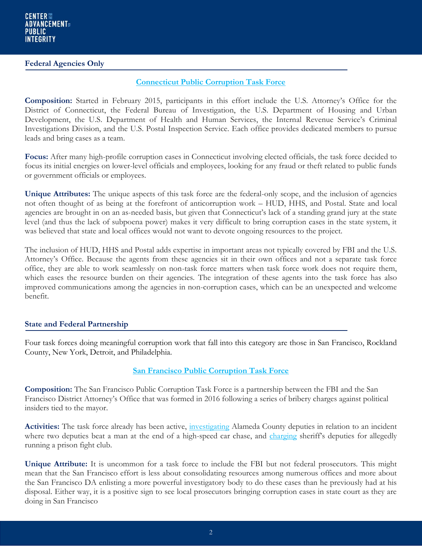#### **Federal Agencies Only**

#### **[Connecticut Public Corruption Task Force](https://www.fbi.gov/contact-us/field-offices/newhaven/news/press-releases/federal-law-enforcement-authorities-announce-formation-of-task-force-to-fight-public-corruption)**

**Composition:** Started in February 2015, participants in this effort include the U.S. Attorney's Office for the District of Connecticut, the Federal Bureau of Investigation, the U.S. Department of Housing and Urban Development, the U.S. Department of Health and Human Services, the Internal Revenue Service's Criminal Investigations Division, and the U.S. Postal Inspection Service. Each office provides dedicated members to pursue leads and bring cases as a team.

**Focus:** After many high-profile corruption cases in Connecticut involving elected officials, the task force decided to focus its initial energies on lower-level officials and employees, looking for any fraud or theft related to public funds or government officials or employees.

**Unique Attributes:** The unique aspects of this task force are the federal-only scope, and the inclusion of agencies not often thought of as being at the forefront of anticorruption work – HUD, HHS, and Postal. State and local agencies are brought in on an as-needed basis, but given that Connecticut's lack of a standing grand jury at the state level (and thus the lack of subpoena power) makes it very difficult to bring corruption cases in the state system, it was believed that state and local offices would not want to devote ongoing resources to the project.

The inclusion of HUD, HHS and Postal adds expertise in important areas not typically covered by FBI and the U.S. Attorney's Office. Because the agents from these agencies sit in their own offices and not a separate task force office, they are able to work seamlessly on non-task force matters when task force work does not require them, which eases the resource burden on their agencies. The integration of these agents into the task force has also improved communications among the agencies in non-corruption cases, which can be an unexpected and welcome benefit.

#### **State and Federal Partnership**

Four task forces doing meaningful corruption work that fall into this category are those in San Francisco, Rockland County, New York, Detroit, and Philadelphia.

#### **[San Francisco Public Corruption Task Force](http://www.sfgate.com/bayarea/article/San-Francisco-D-A-Gasc-n-FBI-launch-6834341.php)**

**Composition:** The San Francisco Public Corruption Task Force is a partnership between the FBI and the San Francisco District Attorney's Office that was formed in 2016 following a series of bribery charges against political insiders tied to the mayor.

**Activities:** The task force already has been active, [investigating](http://www.latimes.com/local/lanow/la-me-ln-alameda-deputy-charges-san-francisco-arrest-20160510-story.html) Alameda County deputies in relation to an incident where two deputies beat a man at the end of a high-speed car chase, and [charging](http://abc30.com/news/sf-da-files-charges-against-3-sheriffs-deputies-for-alleged-inmate-fights/1228099/) sheriff's deputies for allegedly running a prison fight club.

**Unique Attribute:** It is uncommon for a task force to include the FBI but not federal prosecutors. This might mean that the San Francisco effort is less about consolidating resources among numerous offices and more about the San Francisco DA enlisting a more powerful investigatory body to do these cases than he previously had at his disposal. Either way, it is a positive sign to see local prosecutors bringing corruption cases in state court as they are doing in San Francisco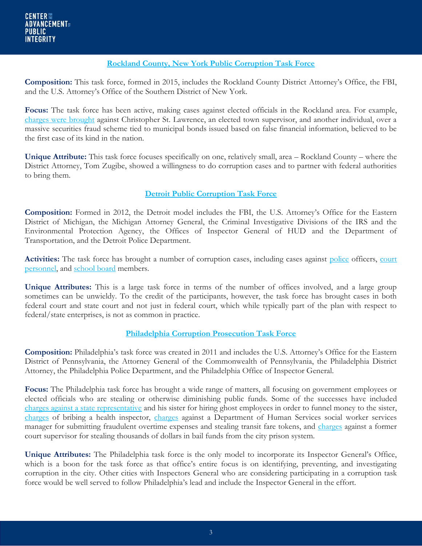#### **[Rockland County, New York Public Corruption Task Force](https://www.justice.gov/usao-sdny/pr/ramapo-town-supervisor-and-former-executive-director-ramapo-local-development)**

**Composition:** This task force, formed in 2015, includes the Rockland County District Attorney's Office, the FBI, and the U.S. Attorney's Office of the Southern District of New York.

Focus: The task force has been active, making cases against elected officials in the Rockland area. For example, [charges were brought](https://www.justice.gov/usao-sdny/file/840826/download) against Christopher St. Lawrence, an elected town supervisor, and another individual, over a massive securities fraud scheme tied to municipal bonds issued based on false financial information, believed to be the first case of its kind in the nation.

**Unique Attribute:** This task force focuses specifically on one, relatively small, area – Rockland County – where the District Attorney, Tom Zugibe, showed a willingness to do corruption cases and to partner with federal authorities to bring them.

#### **[Detroit Public Corruption Task Force](https://archives.fbi.gov/archives/detroit/press-releases/2012/new-multi-agency-public-corruption-task-force-formed)**

**Composition:** Formed in 2012, the Detroit model includes the FBI, the U.S. Attorney's Office for the Eastern District of Michigan, the Michigan Attorney General, the Criminal Investigative Divisions of the IRS and the Environmental Protection Agency, the Offices of Inspector General of HUD and the Department of Transportation, and the Detroit Police Department.

Activities: The task force has brought a number of corruption cases, including cases against [police](https://www.justice.gov/usao-edmi/pr/detroit-police-lieutenant-officer-convicted-conspiracy-obtain-property-extortion) officers, court [personnel,](http://www.michigan.gov/som/0,4669,7-192-29701-378974--,00.html) and [school board](http://detroit.cbslocal.com/2014/09/02/activist-robert-davis-pleads-to-federal-charges-in-school-theft-case/) members.

**Unique Attributes:** This is a large task force in terms of the number of offices involved, and a large group sometimes can be unwieldy. To the credit of the participants, however, the task force has brought cases in both federal court and state court and not just in federal court, which while typically part of the plan with respect to federal/state enterprises, is not as common in practice.

#### **Philadelphia [Corruption Prosecution Task Force](http://philadelphia.cbslocal.com/2011/06/02/philadelphia-da-creates-new-public-corruption-task-force/)**

**Composition:** Philadelphia's task force was created in 2011 and includes the U.S. Attorney's Office for the Eastern District of Pennsylvania, the Attorney General of the Commonwealth of Pennsylvania, the Philadelphia District Attorney, the Philadelphia Police Department, and the Philadelphia Office of Inspector General.

**Focus:** The Philadelphia task force has brought a wide range of matters, all focusing on government employees or elected officials who are stealing or otherwise diminishing public funds. Some of the successes have included [charges against a state representative](http://www.montgomerynews.com/articles/2014/02/04/roxborough_review/news/doc52e7ccfb3731b455877911.txt) and his sister for hiring ghost employees in order to funnel money to the sister, [charges](http://www.philly.com/philly/news/breaking/DA_Pizza_shop_worker_paid_bribes_to_pass_health_inspections_in_sting.html) of bribing a health inspector, [charges](https://phillyda.wordpress.com/2014/10/06/philadelphia-dhs-worker-charged-with-stealing-close-to-18000-in-septa-tokens/) against a Department of Human Services social worker services manager for submitting fraudulent overtime expenses and stealing transit fare tokens, and [charges](http://www.phillytrib.com/news/bail-supervisor-charged-with-stealing-thousands/article_db482278-c1b6-55aa-861b-6591467fba4c.html) against a former court supervisor for stealing thousands of dollars in bail funds from the city prison system.

**Unique Attributes:** The Philadelphia task force is the only model to incorporate its Inspector General's Office, which is a boon for the task force as that office's entire focus is on identifying, preventing, and investigating corruption in the city. Other cities with Inspectors General who are considering participating in a corruption task force would be well served to follow Philadelphia's lead and include the Inspector General in the effort.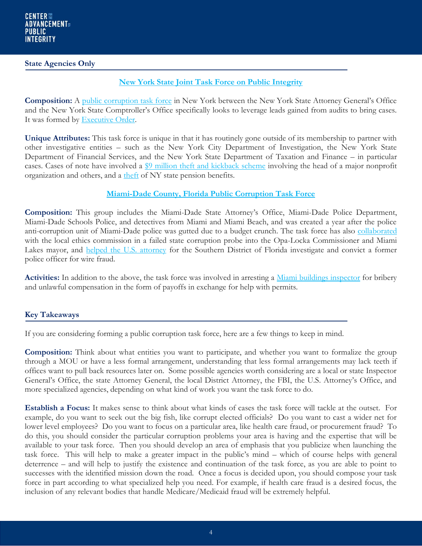#### **State Agencies Only**

#### **[New York State Joint Task](http://www.nytimes.com/2011/05/23/nyregion/ny-attorney-general-granted-power-in-corruption-cases.html?_r=0) Force on Public Integrity**

**Composition:** A [public corruption task force](http://www.osc.state.ny.us/press/releases/june16/062016.htm) in New York between the New York State Attorney General's Office and the New York State Comptroller's Office specifically looks to leverage leads gained from audits to bring cases. It was formed by [Executive Order.](http://www.osc.state.ny.us/press/executive-order-joint-task-force.pdf)

**Unique Attributes:** This task force is unique in that it has routinely gone outside of its membership to partner with other investigative entities – such as the New York City Department of Investigation, the New York State Department of Financial Services, and the New York State Department of Taxation and Finance – in particular cases. Cases of note have involved a [\\$9 million theft and kickback scheme](http://www.ag.ny.gov/press-release/ag-schneiderman-comptroller-dinapoli-announce-sentencing-former-met-council-director) involving the head of a major nonprofit organization and others, and a [theft](https://www.longislandexchange.com/press-releases/a-g-schneiderman-comptroller-dinapoli-announce-sentencing-of-nj-woman-over-theft-of-over-162000-in-nys-pension-benefits/) of NY state pension benefits.

#### **[Miami-Dade County, Florida Public Corruption Task Force](http://www.miamiherald.com/news/local/community/miami-dade/article1967627.html)**

**Composition:** This group includes the Miami-Dade State Attorney's Office, Miami-Dade Police Department, Miami-Dade Schools Police, and detectives from Miami and Miami Beach, and was created a year after the police anti-corruption unit of Miami-Dade police was gutted due to a budget crunch. The task force has also [collaborated](http://www.miamiherald.com/news/local/community/miami-dade/article92680867.html) with the local ethics commission in a failed state corruption probe into the Opa-Locka Commissioner and Miami Lakes mayor, and [helped the U.S. attorney](https://www.justice.gov/usao-sdfl/pr/former-miami-dade-police-department-officer-convicted-wire-fraud) for the Southern District of Florida investigate and convict a former police officer for wire fraud.

**Activities:** In addition to the above, the task force was involved in arresting a [Miami buildings inspector](http://www.miamiherald.com/news/local/crime/article50450690.html) for bribery and unlawful compensation in the form of payoffs in exchange for help with permits.

#### **Key Takeaways**

If you are considering forming a public corruption task force, here are a few things to keep in mind.

**Composition:** Think about what entities you want to participate, and whether you want to formalize the group through a MOU or have a less formal arrangement, understanding that less formal arrangements may lack teeth if offices want to pull back resources later on. Some possible agencies worth considering are a local or state Inspector General's Office, the state Attorney General, the local District Attorney, the FBI, the U.S. Attorney's Office, and more specialized agencies, depending on what kind of work you want the task force to do.

**Establish a Focus:** It makes sense to think about what kinds of cases the task force will tackle at the outset. For example, do you want to seek out the big fish, like corrupt elected officials? Do you want to cast a wider net for lower level employees? Do you want to focus on a particular area, like health care fraud, or procurement fraud? To do this, you should consider the particular corruption problems your area is having and the expertise that will be available to your task force. Then you should develop an area of emphasis that you publicize when launching the task force. This will help to make a greater impact in the public's mind – which of course helps with general deterrence – and will help to justify the existence and continuation of the task force, as you are able to point to successes with the identified mission down the road. Once a focus is decided upon, you should compose your task force in part according to what specialized help you need. For example, if health care fraud is a desired focus, the inclusion of any relevant bodies that handle Medicare/Medicaid fraud will be extremely helpful.